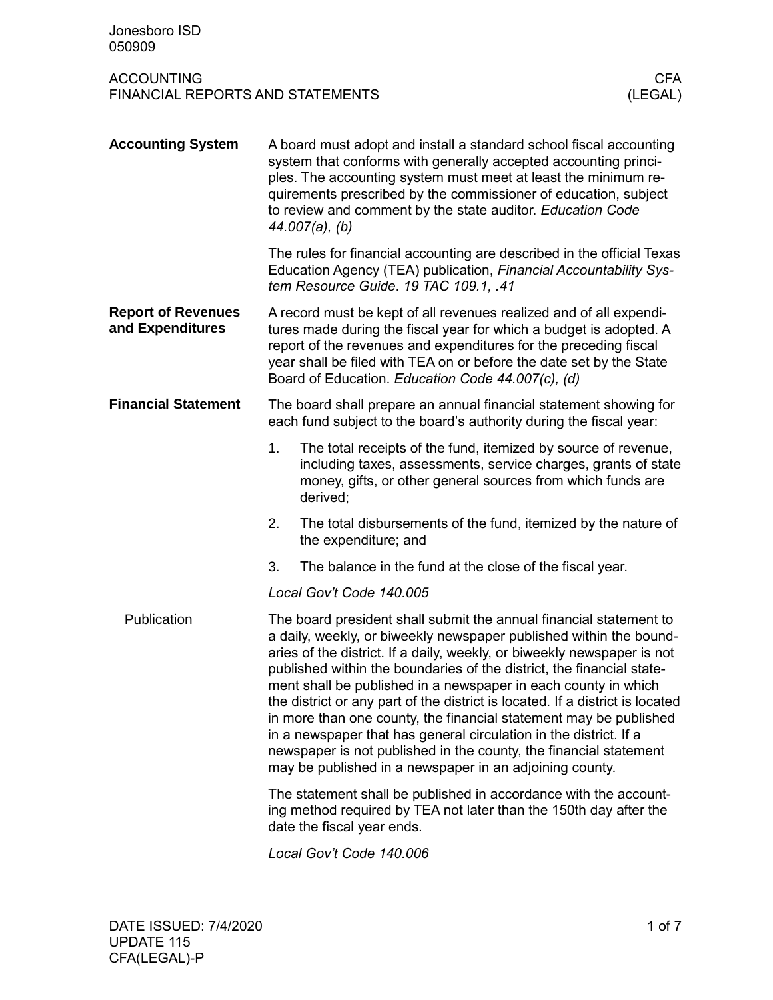| Jonesboro ISD<br>050909                                      |                                                                                                                                                                                                                                                                                                                                                                                                                                                                                                                                                                                                                                                                                                                           |                                                                                                                                                                                                             |                       |  |  |  |
|--------------------------------------------------------------|---------------------------------------------------------------------------------------------------------------------------------------------------------------------------------------------------------------------------------------------------------------------------------------------------------------------------------------------------------------------------------------------------------------------------------------------------------------------------------------------------------------------------------------------------------------------------------------------------------------------------------------------------------------------------------------------------------------------------|-------------------------------------------------------------------------------------------------------------------------------------------------------------------------------------------------------------|-----------------------|--|--|--|
| <b>ACCOUNTING</b><br><b>FINANCIAL REPORTS AND STATEMENTS</b> |                                                                                                                                                                                                                                                                                                                                                                                                                                                                                                                                                                                                                                                                                                                           |                                                                                                                                                                                                             | <b>CFA</b><br>(LEGAL) |  |  |  |
| <b>Accounting System</b>                                     | A board must adopt and install a standard school fiscal accounting<br>system that conforms with generally accepted accounting princi-<br>ples. The accounting system must meet at least the minimum re-<br>quirements prescribed by the commissioner of education, subject<br>to review and comment by the state auditor. Education Code<br>$44.007(a)$ , (b)                                                                                                                                                                                                                                                                                                                                                             |                                                                                                                                                                                                             |                       |  |  |  |
|                                                              | The rules for financial accounting are described in the official Texas<br>Education Agency (TEA) publication, Financial Accountability Sys-<br>tem Resource Guide. 19 TAC 109.1, .41                                                                                                                                                                                                                                                                                                                                                                                                                                                                                                                                      |                                                                                                                                                                                                             |                       |  |  |  |
| <b>Report of Revenues</b><br>and Expenditures                | A record must be kept of all revenues realized and of all expendi-<br>tures made during the fiscal year for which a budget is adopted. A<br>report of the revenues and expenditures for the preceding fiscal<br>year shall be filed with TEA on or before the date set by the State<br>Board of Education. Education Code 44.007(c), (d)                                                                                                                                                                                                                                                                                                                                                                                  |                                                                                                                                                                                                             |                       |  |  |  |
| <b>Financial Statement</b>                                   | The board shall prepare an annual financial statement showing for<br>each fund subject to the board's authority during the fiscal year:                                                                                                                                                                                                                                                                                                                                                                                                                                                                                                                                                                                   |                                                                                                                                                                                                             |                       |  |  |  |
|                                                              | 1.                                                                                                                                                                                                                                                                                                                                                                                                                                                                                                                                                                                                                                                                                                                        | The total receipts of the fund, itemized by source of revenue,<br>including taxes, assessments, service charges, grants of state<br>money, gifts, or other general sources from which funds are<br>derived; |                       |  |  |  |
|                                                              | 2.                                                                                                                                                                                                                                                                                                                                                                                                                                                                                                                                                                                                                                                                                                                        | The total disbursements of the fund, itemized by the nature of<br>the expenditure; and                                                                                                                      |                       |  |  |  |
|                                                              | 3.                                                                                                                                                                                                                                                                                                                                                                                                                                                                                                                                                                                                                                                                                                                        | The balance in the fund at the close of the fiscal year.                                                                                                                                                    |                       |  |  |  |
|                                                              | Local Gov't Code 140.005                                                                                                                                                                                                                                                                                                                                                                                                                                                                                                                                                                                                                                                                                                  |                                                                                                                                                                                                             |                       |  |  |  |
| Publication                                                  | The board president shall submit the annual financial statement to<br>a daily, weekly, or biweekly newspaper published within the bound-<br>aries of the district. If a daily, weekly, or biweekly newspaper is not<br>published within the boundaries of the district, the financial state-<br>ment shall be published in a newspaper in each county in which<br>the district or any part of the district is located. If a district is located<br>in more than one county, the financial statement may be published<br>in a newspaper that has general circulation in the district. If a<br>newspaper is not published in the county, the financial statement<br>may be published in a newspaper in an adjoining county. |                                                                                                                                                                                                             |                       |  |  |  |
|                                                              | The statement shall be published in accordance with the account-<br>ing method required by TEA not later than the 150th day after the<br>date the fiscal year ends.                                                                                                                                                                                                                                                                                                                                                                                                                                                                                                                                                       |                                                                                                                                                                                                             |                       |  |  |  |
|                                                              | Local Gov't Code 140.006                                                                                                                                                                                                                                                                                                                                                                                                                                                                                                                                                                                                                                                                                                  |                                                                                                                                                                                                             |                       |  |  |  |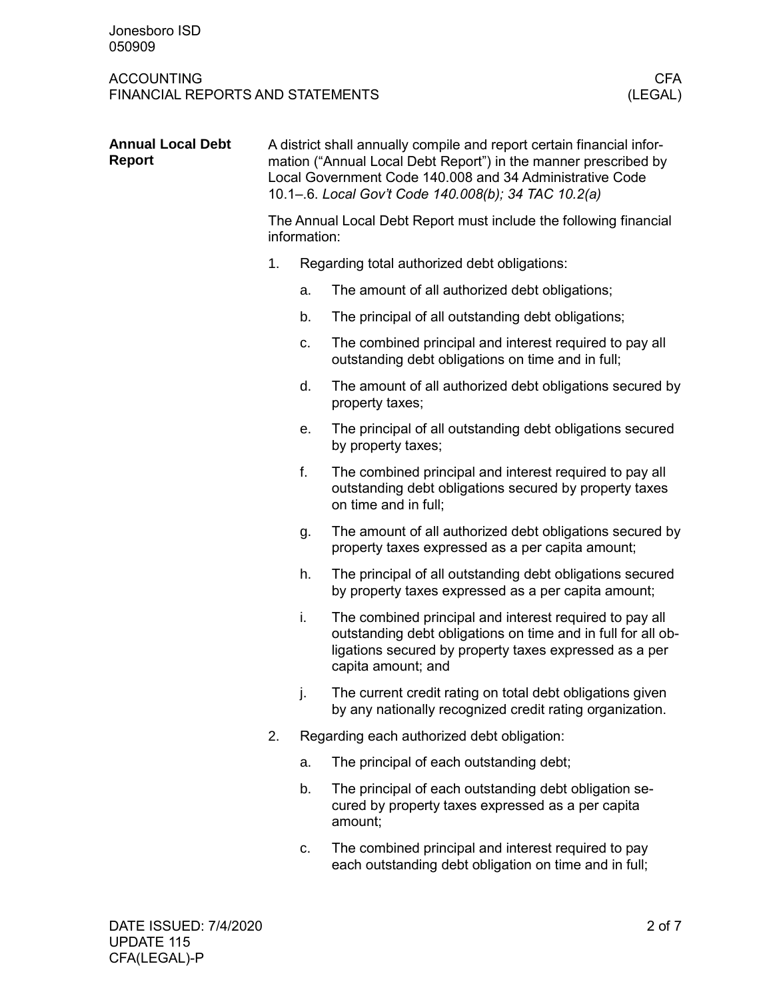| <b>Annual Local Debt</b><br><b>Report</b> | A district shall annually compile and report certain financial infor-<br>mation ("Annual Local Debt Report") in the manner prescribed by<br>Local Government Code 140.008 and 34 Administrative Code<br>10.1-.6. Local Gov't Code 140.008(b); 34 TAC 10.2(a) |    |                                                                                                                                                                                                         |  |  |  |
|-------------------------------------------|--------------------------------------------------------------------------------------------------------------------------------------------------------------------------------------------------------------------------------------------------------------|----|---------------------------------------------------------------------------------------------------------------------------------------------------------------------------------------------------------|--|--|--|
|                                           | The Annual Local Debt Report must include the following financial<br>information:                                                                                                                                                                            |    |                                                                                                                                                                                                         |  |  |  |
|                                           | 1.                                                                                                                                                                                                                                                           |    | Regarding total authorized debt obligations:                                                                                                                                                            |  |  |  |
|                                           |                                                                                                                                                                                                                                                              | a. | The amount of all authorized debt obligations;                                                                                                                                                          |  |  |  |
|                                           |                                                                                                                                                                                                                                                              | b. | The principal of all outstanding debt obligations;                                                                                                                                                      |  |  |  |
|                                           |                                                                                                                                                                                                                                                              | C. | The combined principal and interest required to pay all<br>outstanding debt obligations on time and in full;                                                                                            |  |  |  |
|                                           |                                                                                                                                                                                                                                                              | d. | The amount of all authorized debt obligations secured by<br>property taxes;                                                                                                                             |  |  |  |
|                                           |                                                                                                                                                                                                                                                              | е. | The principal of all outstanding debt obligations secured<br>by property taxes;                                                                                                                         |  |  |  |
|                                           |                                                                                                                                                                                                                                                              | f. | The combined principal and interest required to pay all<br>outstanding debt obligations secured by property taxes<br>on time and in full;                                                               |  |  |  |
|                                           |                                                                                                                                                                                                                                                              | g. | The amount of all authorized debt obligations secured by<br>property taxes expressed as a per capita amount;                                                                                            |  |  |  |
|                                           |                                                                                                                                                                                                                                                              | h. | The principal of all outstanding debt obligations secured<br>by property taxes expressed as a per capita amount;                                                                                        |  |  |  |
|                                           |                                                                                                                                                                                                                                                              | i. | The combined principal and interest required to pay all<br>outstanding debt obligations on time and in full for all ob-<br>ligations secured by property taxes expressed as a per<br>capita amount; and |  |  |  |
|                                           |                                                                                                                                                                                                                                                              | j. | The current credit rating on total debt obligations given<br>by any nationally recognized credit rating organization.                                                                                   |  |  |  |
|                                           | 2.                                                                                                                                                                                                                                                           |    | Regarding each authorized debt obligation:                                                                                                                                                              |  |  |  |
|                                           |                                                                                                                                                                                                                                                              | a. | The principal of each outstanding debt;                                                                                                                                                                 |  |  |  |
|                                           |                                                                                                                                                                                                                                                              | b. | The principal of each outstanding debt obligation se-<br>cured by property taxes expressed as a per capita<br>amount;                                                                                   |  |  |  |
|                                           |                                                                                                                                                                                                                                                              | C. | The combined principal and interest required to pay<br>each outstanding debt obligation on time and in full;                                                                                            |  |  |  |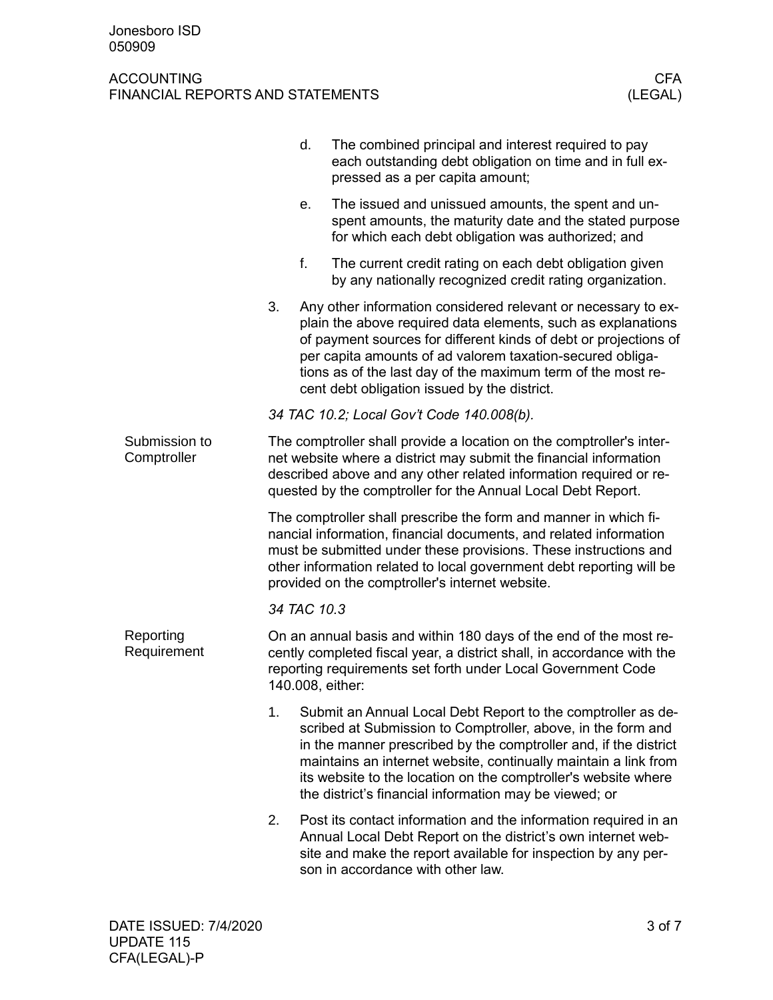|                              |                                                                                                                                                                                                                                                                                                                                      | d. | The combined principal and interest required to pay<br>each outstanding debt obligation on time and in full ex-<br>pressed as a per capita amount;                                                                                                                                                                                                                                              |  |  |  |
|------------------------------|--------------------------------------------------------------------------------------------------------------------------------------------------------------------------------------------------------------------------------------------------------------------------------------------------------------------------------------|----|-------------------------------------------------------------------------------------------------------------------------------------------------------------------------------------------------------------------------------------------------------------------------------------------------------------------------------------------------------------------------------------------------|--|--|--|
|                              |                                                                                                                                                                                                                                                                                                                                      | е. | The issued and unissued amounts, the spent and un-<br>spent amounts, the maturity date and the stated purpose<br>for which each debt obligation was authorized; and                                                                                                                                                                                                                             |  |  |  |
|                              |                                                                                                                                                                                                                                                                                                                                      | f. | The current credit rating on each debt obligation given<br>by any nationally recognized credit rating organization.                                                                                                                                                                                                                                                                             |  |  |  |
|                              | 3.                                                                                                                                                                                                                                                                                                                                   |    | Any other information considered relevant or necessary to ex-<br>plain the above required data elements, such as explanations<br>of payment sources for different kinds of debt or projections of<br>per capita amounts of ad valorem taxation-secured obliga-<br>tions as of the last day of the maximum term of the most re-<br>cent debt obligation issued by the district.                  |  |  |  |
|                              | 34 TAC 10.2; Local Gov't Code 140.008(b).                                                                                                                                                                                                                                                                                            |    |                                                                                                                                                                                                                                                                                                                                                                                                 |  |  |  |
| Submission to<br>Comptroller | The comptroller shall provide a location on the comptroller's inter-<br>net website where a district may submit the financial information<br>described above and any other related information required or re-<br>quested by the comptroller for the Annual Local Debt Report.                                                       |    |                                                                                                                                                                                                                                                                                                                                                                                                 |  |  |  |
|                              | The comptroller shall prescribe the form and manner in which fi-<br>nancial information, financial documents, and related information<br>must be submitted under these provisions. These instructions and<br>other information related to local government debt reporting will be<br>provided on the comptroller's internet website. |    |                                                                                                                                                                                                                                                                                                                                                                                                 |  |  |  |
|                              | 34 TAC 10.3                                                                                                                                                                                                                                                                                                                          |    |                                                                                                                                                                                                                                                                                                                                                                                                 |  |  |  |
| Reporting<br>Requirement     | On an annual basis and within 180 days of the end of the most re-<br>cently completed fiscal year, a district shall, in accordance with the<br>reporting requirements set forth under Local Government Code<br>140.008, either:                                                                                                      |    |                                                                                                                                                                                                                                                                                                                                                                                                 |  |  |  |
|                              | 1.                                                                                                                                                                                                                                                                                                                                   |    | Submit an Annual Local Debt Report to the comptroller as de-<br>scribed at Submission to Comptroller, above, in the form and<br>in the manner prescribed by the comptroller and, if the district<br>maintains an internet website, continually maintain a link from<br>its website to the location on the comptroller's website where<br>the district's financial information may be viewed; or |  |  |  |
|                              | 2.                                                                                                                                                                                                                                                                                                                                   |    | Post its contact information and the information required in an<br>Annual Local Debt Report on the district's own internet web-<br>site and make the report available for inspection by any per-<br>son in accordance with other law.                                                                                                                                                           |  |  |  |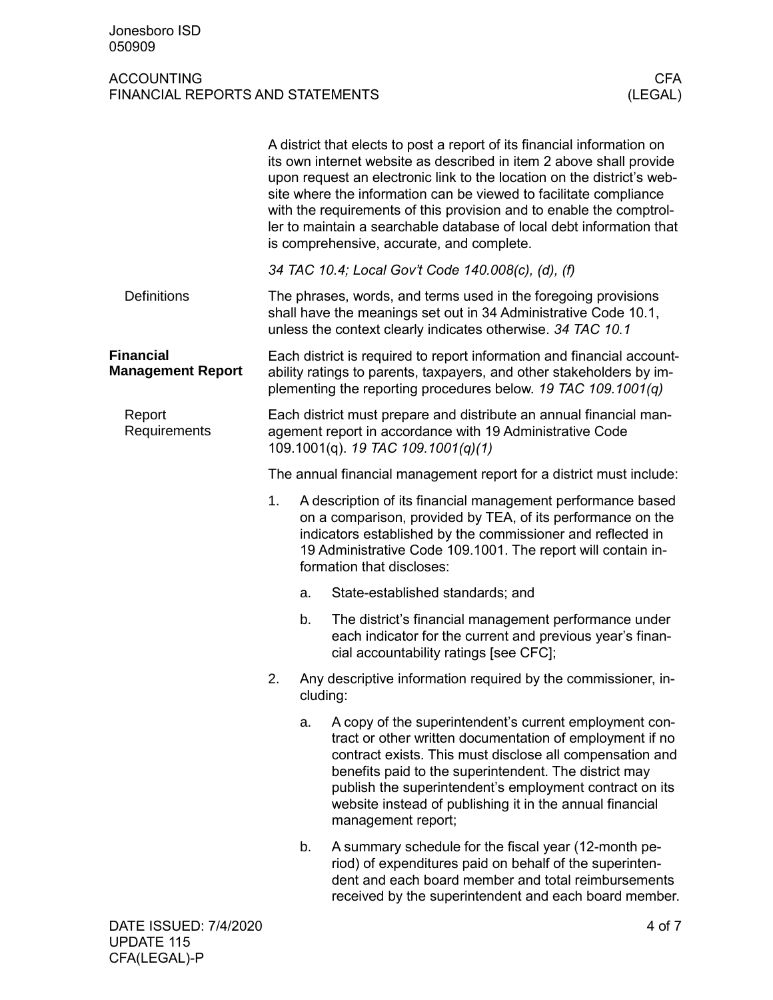|                                              |                                                                                                                                                                                                                 |                                                                                                                                                                                                                                                                                        | A district that elects to post a report of its financial information on<br>its own internet website as described in item 2 above shall provide<br>upon request an electronic link to the location on the district's web-<br>site where the information can be viewed to facilitate compliance<br>with the requirements of this provision and to enable the comptrol-<br>ler to maintain a searchable database of local debt information that<br>is comprehensive, accurate, and complete. |  |
|----------------------------------------------|-----------------------------------------------------------------------------------------------------------------------------------------------------------------------------------------------------------------|----------------------------------------------------------------------------------------------------------------------------------------------------------------------------------------------------------------------------------------------------------------------------------------|-------------------------------------------------------------------------------------------------------------------------------------------------------------------------------------------------------------------------------------------------------------------------------------------------------------------------------------------------------------------------------------------------------------------------------------------------------------------------------------------|--|
|                                              |                                                                                                                                                                                                                 |                                                                                                                                                                                                                                                                                        | 34 TAC 10.4; Local Gov't Code 140.008(c), (d), (f)                                                                                                                                                                                                                                                                                                                                                                                                                                        |  |
| <b>Definitions</b>                           | The phrases, words, and terms used in the foregoing provisions<br>shall have the meanings set out in 34 Administrative Code 10.1,<br>unless the context clearly indicates otherwise. 34 TAC 10.1                |                                                                                                                                                                                                                                                                                        |                                                                                                                                                                                                                                                                                                                                                                                                                                                                                           |  |
| <b>Financial</b><br><b>Management Report</b> | Each district is required to report information and financial account-<br>ability ratings to parents, taxpayers, and other stakeholders by im-<br>plementing the reporting procedures below. 19 TAC 109.1001(q) |                                                                                                                                                                                                                                                                                        |                                                                                                                                                                                                                                                                                                                                                                                                                                                                                           |  |
| Report<br>Requirements                       | Each district must prepare and distribute an annual financial man-<br>agement report in accordance with 19 Administrative Code<br>109.1001(q). 19 TAC 109.1001(q)(1)                                            |                                                                                                                                                                                                                                                                                        |                                                                                                                                                                                                                                                                                                                                                                                                                                                                                           |  |
|                                              | The annual financial management report for a district must include:                                                                                                                                             |                                                                                                                                                                                                                                                                                        |                                                                                                                                                                                                                                                                                                                                                                                                                                                                                           |  |
|                                              | 1.                                                                                                                                                                                                              | A description of its financial management performance based<br>on a comparison, provided by TEA, of its performance on the<br>indicators established by the commissioner and reflected in<br>19 Administrative Code 109.1001. The report will contain in-<br>formation that discloses: |                                                                                                                                                                                                                                                                                                                                                                                                                                                                                           |  |
|                                              |                                                                                                                                                                                                                 | a.                                                                                                                                                                                                                                                                                     | State-established standards; and                                                                                                                                                                                                                                                                                                                                                                                                                                                          |  |
|                                              |                                                                                                                                                                                                                 | b.                                                                                                                                                                                                                                                                                     | The district's financial management performance under<br>each indicator for the current and previous year's finan-<br>cial accountability ratings [see CFC];                                                                                                                                                                                                                                                                                                                              |  |
|                                              | 2.                                                                                                                                                                                                              | Any descriptive information required by the commissioner, in-<br>cluding:                                                                                                                                                                                                              |                                                                                                                                                                                                                                                                                                                                                                                                                                                                                           |  |
|                                              |                                                                                                                                                                                                                 | a.                                                                                                                                                                                                                                                                                     | A copy of the superintendent's current employment con-<br>tract or other written documentation of employment if no<br>contract exists. This must disclose all compensation and<br>benefits paid to the superintendent. The district may<br>publish the superintendent's employment contract on its<br>website instead of publishing it in the annual financial<br>management report;                                                                                                      |  |
|                                              |                                                                                                                                                                                                                 | b.                                                                                                                                                                                                                                                                                     | A summary schedule for the fiscal year (12-month pe-<br>riod) of expenditures paid on behalf of the superinten-<br>dent and each board member and total reimbursements<br>received by the superintendent and each board member.                                                                                                                                                                                                                                                           |  |
| DATE ISSUED: 7/4/2020                        |                                                                                                                                                                                                                 |                                                                                                                                                                                                                                                                                        | 4 of 7                                                                                                                                                                                                                                                                                                                                                                                                                                                                                    |  |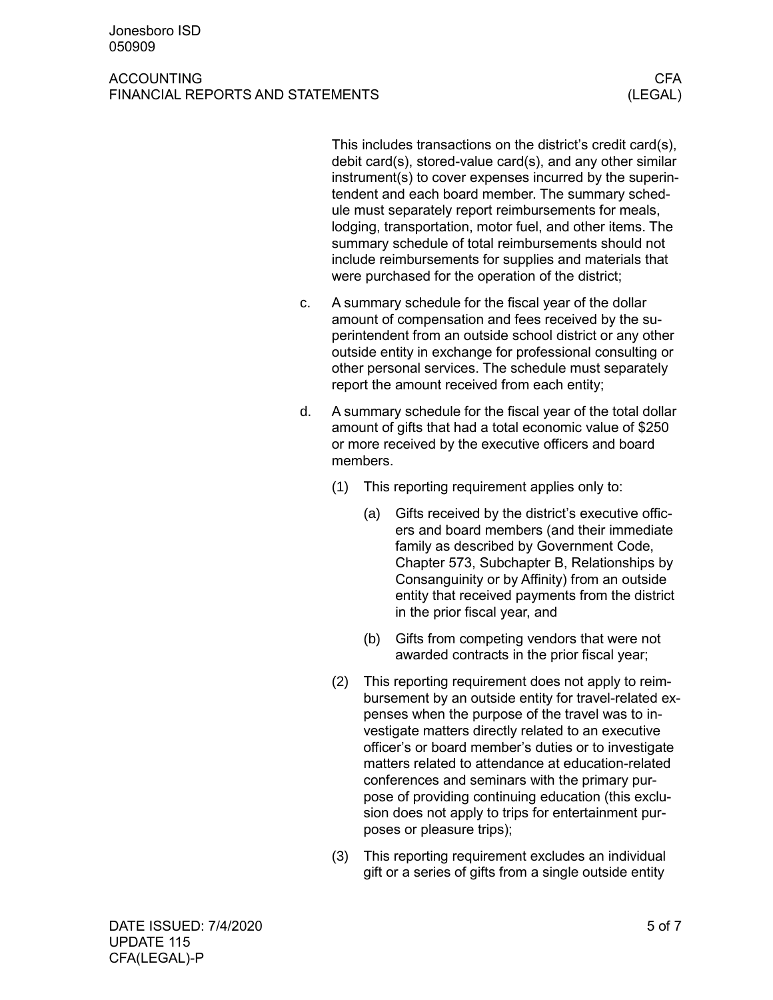#### ACCOUNTING CFA AND INTERNATIONAL CHARGE OF A SECOND TIME OF A SECOND TIME OF A SECOND SECOND SECOND SECOND SECOND SECOND SECOND SECOND SECOND SECOND SECOND SECOND SECOND SECOND SECOND SECOND SECOND SECOND SECOND SECOND SEC FINANCIAL REPORTS AND STATEMENTS (LEGAL)

This includes transactions on the district's credit card(s), debit card(s), stored-value card(s), and any other similar instrument(s) to cover expenses incurred by the superintendent and each board member. The summary schedule must separately report reimbursements for meals, lodging, transportation, motor fuel, and other items. The summary schedule of total reimbursements should not include reimbursements for supplies and materials that were purchased for the operation of the district;

- c. A summary schedule for the fiscal year of the dollar amount of compensation and fees received by the superintendent from an outside school district or any other outside entity in exchange for professional consulting or other personal services. The schedule must separately report the amount received from each entity;
- d. A summary schedule for the fiscal year of the total dollar amount of gifts that had a total economic value of \$250 or more received by the executive officers and board members.
	- (1) This reporting requirement applies only to:
		- (a) Gifts received by the district's executive officers and board members (and their immediate family as described by Government Code, Chapter 573, Subchapter B, Relationships by Consanguinity or by Affinity) from an outside entity that received payments from the district in the prior fiscal year, and
		- (b) Gifts from competing vendors that were not awarded contracts in the prior fiscal year;
	- (2) This reporting requirement does not apply to reimbursement by an outside entity for travel-related expenses when the purpose of the travel was to investigate matters directly related to an executive officer's or board member's duties or to investigate matters related to attendance at education-related conferences and seminars with the primary purpose of providing continuing education (this exclusion does not apply to trips for entertainment purposes or pleasure trips);
	- (3) This reporting requirement excludes an individual gift or a series of gifts from a single outside entity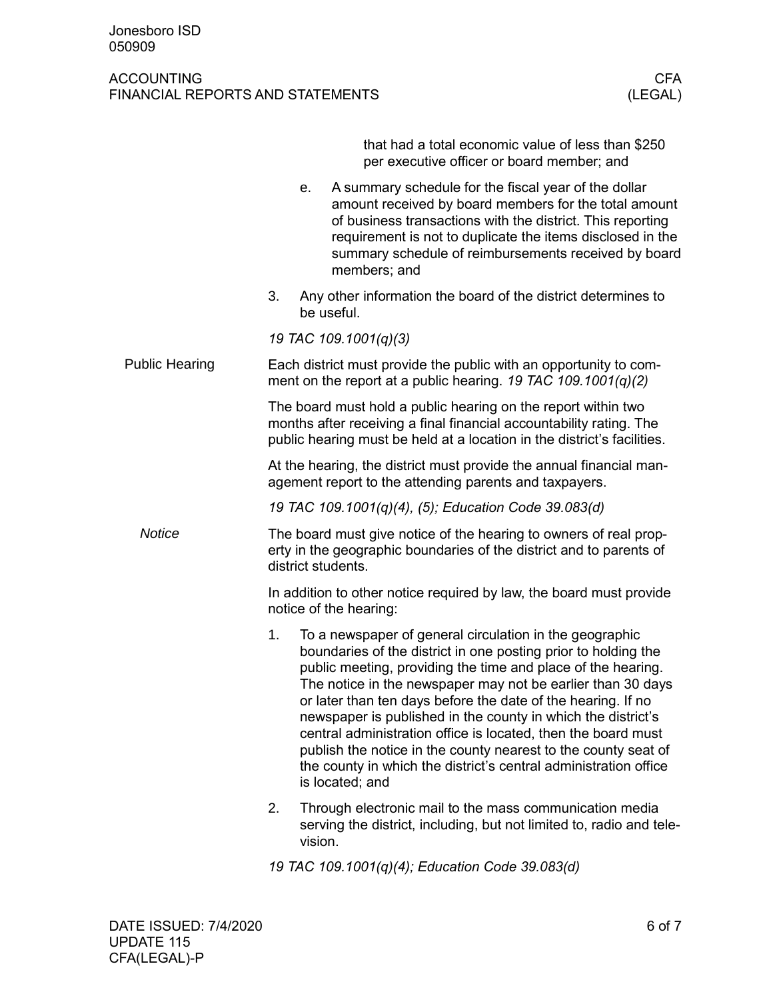|                       |                                                                                                                                                                                                                 |         | that had a total economic value of less than \$250<br>per executive officer or board member; and                                                                                                                                                                                                                                                                                                                                                                                                                                                                                                                   |  |  |  |  |
|-----------------------|-----------------------------------------------------------------------------------------------------------------------------------------------------------------------------------------------------------------|---------|--------------------------------------------------------------------------------------------------------------------------------------------------------------------------------------------------------------------------------------------------------------------------------------------------------------------------------------------------------------------------------------------------------------------------------------------------------------------------------------------------------------------------------------------------------------------------------------------------------------------|--|--|--|--|
|                       |                                                                                                                                                                                                                 | е.      | A summary schedule for the fiscal year of the dollar<br>amount received by board members for the total amount<br>of business transactions with the district. This reporting<br>requirement is not to duplicate the items disclosed in the<br>summary schedule of reimbursements received by board<br>members; and                                                                                                                                                                                                                                                                                                  |  |  |  |  |
|                       | 3.                                                                                                                                                                                                              |         | Any other information the board of the district determines to<br>be useful.                                                                                                                                                                                                                                                                                                                                                                                                                                                                                                                                        |  |  |  |  |
|                       |                                                                                                                                                                                                                 |         | 19 TAC 109.1001(q)(3)                                                                                                                                                                                                                                                                                                                                                                                                                                                                                                                                                                                              |  |  |  |  |
| <b>Public Hearing</b> | Each district must provide the public with an opportunity to com-<br>ment on the report at a public hearing. 19 TAC 109.1001(q)(2)                                                                              |         |                                                                                                                                                                                                                                                                                                                                                                                                                                                                                                                                                                                                                    |  |  |  |  |
|                       | The board must hold a public hearing on the report within two<br>months after receiving a final financial accountability rating. The<br>public hearing must be held at a location in the district's facilities. |         |                                                                                                                                                                                                                                                                                                                                                                                                                                                                                                                                                                                                                    |  |  |  |  |
|                       | At the hearing, the district must provide the annual financial man-<br>agement report to the attending parents and taxpayers.                                                                                   |         |                                                                                                                                                                                                                                                                                                                                                                                                                                                                                                                                                                                                                    |  |  |  |  |
|                       | 19 TAC 109.1001(q)(4), (5); Education Code 39.083(d)                                                                                                                                                            |         |                                                                                                                                                                                                                                                                                                                                                                                                                                                                                                                                                                                                                    |  |  |  |  |
| <b>Notice</b>         | The board must give notice of the hearing to owners of real prop-<br>erty in the geographic boundaries of the district and to parents of<br>district students.                                                  |         |                                                                                                                                                                                                                                                                                                                                                                                                                                                                                                                                                                                                                    |  |  |  |  |
|                       | In addition to other notice required by law, the board must provide<br>notice of the hearing:                                                                                                                   |         |                                                                                                                                                                                                                                                                                                                                                                                                                                                                                                                                                                                                                    |  |  |  |  |
|                       | 1.                                                                                                                                                                                                              |         | To a newspaper of general circulation in the geographic<br>boundaries of the district in one posting prior to holding the<br>public meeting, providing the time and place of the hearing.<br>The notice in the newspaper may not be earlier than 30 days<br>or later than ten days before the date of the hearing. If no<br>newspaper is published in the county in which the district's<br>central administration office is located, then the board must<br>publish the notice in the county nearest to the county seat of<br>the county in which the district's central administration office<br>is located; and |  |  |  |  |
|                       | 2.                                                                                                                                                                                                              | vision. | Through electronic mail to the mass communication media<br>serving the district, including, but not limited to, radio and tele-                                                                                                                                                                                                                                                                                                                                                                                                                                                                                    |  |  |  |  |
|                       | 19 TAC 109.1001(q)(4); Education Code 39.083(d)                                                                                                                                                                 |         |                                                                                                                                                                                                                                                                                                                                                                                                                                                                                                                                                                                                                    |  |  |  |  |